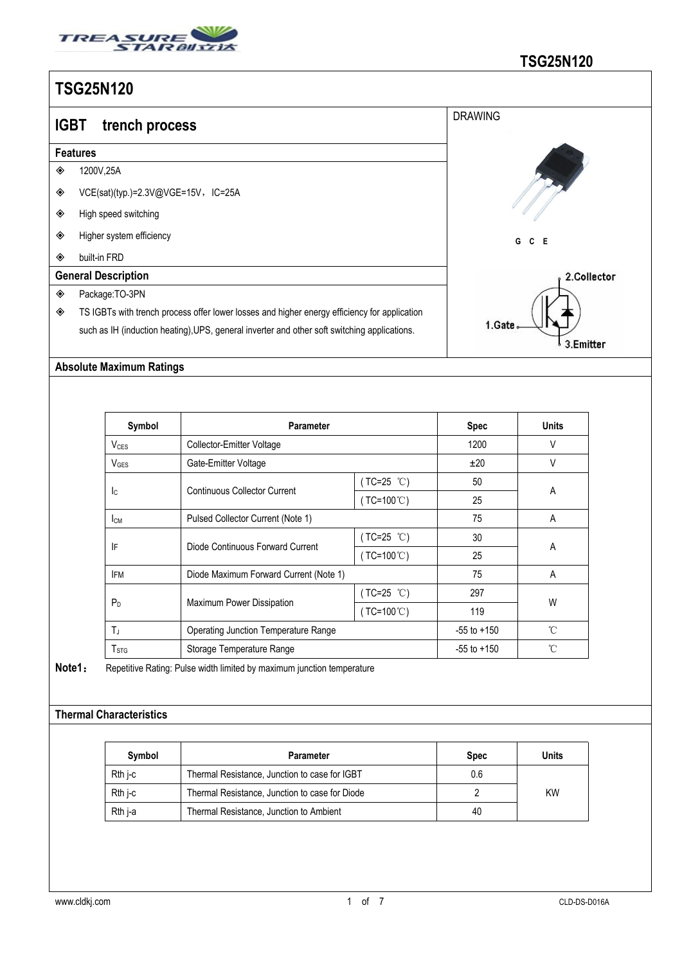

| I UULUI ILU |                                                                                              |                |  |  |  |  |  |
|-------------|----------------------------------------------------------------------------------------------|----------------|--|--|--|--|--|
| <b>IGBT</b> | trench process                                                                               | <b>DRAWING</b> |  |  |  |  |  |
|             | <b>Features</b>                                                                              |                |  |  |  |  |  |
| ◈           | 1200V,25A                                                                                    |                |  |  |  |  |  |
| ◈           | VCE(sat)(typ.)=2.3V@VGE=15V,IC=25A                                                           |                |  |  |  |  |  |
| ◈           | High speed switching                                                                         |                |  |  |  |  |  |
| ◈           | Higher system efficiency                                                                     | G<br>C E       |  |  |  |  |  |
| ◈           | built-in FRD                                                                                 |                |  |  |  |  |  |
|             | <b>General Description</b>                                                                   | 2.Collector    |  |  |  |  |  |
| ◈           | Package:TO-3PN                                                                               |                |  |  |  |  |  |
| ◈           | TS IGBTs with trench process offer lower losses and higher energy efficiency for application |                |  |  |  |  |  |
|             | such as IH (induction heating), UPS, general inverter and other soft switching applications. | 1.Gate         |  |  |  |  |  |
|             |                                                                                              | 3.Emitter      |  |  |  |  |  |

#### **Absolute Maximum Ratings**

| Symbol           | <b>Parameter</b>                       |                      | <b>Spec</b>     | <b>Units</b> |
|------------------|----------------------------------------|----------------------|-----------------|--------------|
| $V_{CES}$        | Collector-Emitter Voltage              |                      | 1200            | V            |
| $V_{\text{GES}}$ | Gate-Emitter Voltage                   |                      | ±20             | V            |
|                  | Continuous Collector Current           | ( $TC=25$ °C)        | 50              | Α            |
| <b>I</b> c       |                                        | ( $TC=100^{\circ}$ ) | 25              |              |
| Iсм              | Pulsed Collector Current (Note 1)      |                      | 75              | Α            |
|                  | Diode Continuous Forward Current       | $(TC=25 °C)$         | 30              | A            |
| IF               |                                        | $(TC=100^{\circ}C)$  | 25              |              |
| <b>IFM</b>       | Diode Maximum Forward Current (Note 1) |                      | 75              | A            |
|                  | Maximum Power Dissipation              | $(TC=25 °C)$         | 297             | W            |
| $P_D$            |                                        | (TC=100 $°C$ )       | 119             |              |
| TJ               | Operating Junction Temperature Range   |                      | $-55$ to $+150$ | $^{\circ}$ C |
| T <sub>STG</sub> | Storage Temperature Range              |                      | $-55$ to $+150$ | $^{\circ}$ C |

**Note1**: Repetitive Rating: Pulse width limited by maximum junction temperature

#### **Thermal Characteristics**

| Symbol    | Parameter                                      | <b>Spec</b> | Units     |
|-----------|------------------------------------------------|-------------|-----------|
| $Rth$ j-c | Thermal Resistance, Junction to case for IGBT  | 0.6         |           |
| $Rth$ j-c | Thermal Resistance, Junction to case for Diode |             | <b>KW</b> |
| Rth i-a   | Thermal Resistance, Junction to Ambient        | 40          |           |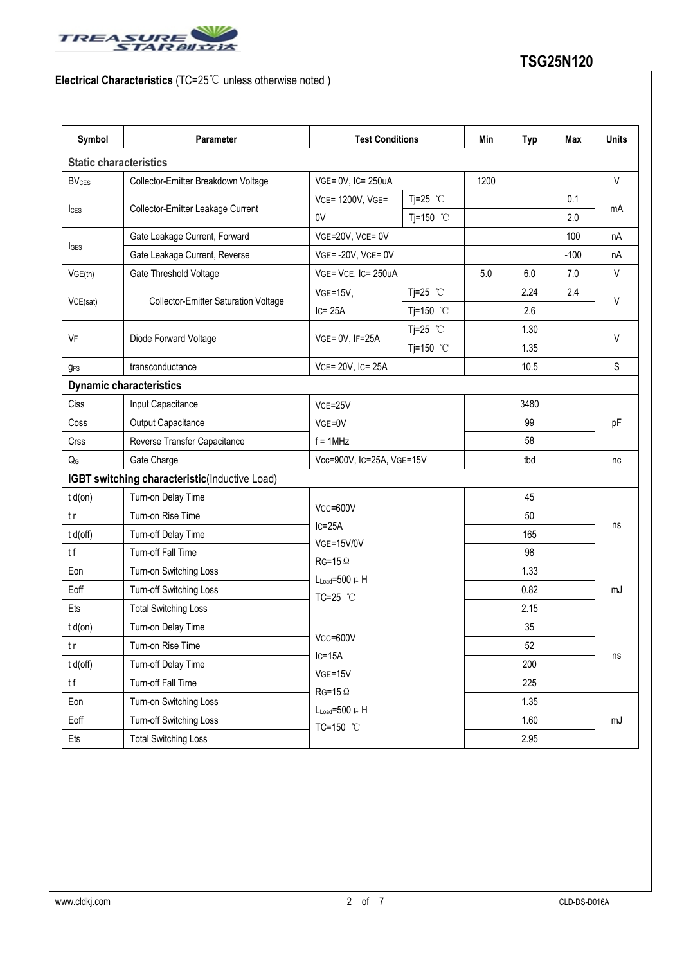

### **Electrical Characteristics** (TC=25℃ unless otherwise noted )

| Symbol                  | Parameter                                     | <b>Test Conditions</b>                                                                              |                     | Min  | <b>Typ</b> | Max    | <b>Units</b> |
|-------------------------|-----------------------------------------------|-----------------------------------------------------------------------------------------------------|---------------------|------|------------|--------|--------------|
|                         | <b>Static characteristics</b>                 |                                                                                                     |                     |      |            |        |              |
| <b>BV<sub>CES</sub></b> | Collector-Emitter Breakdown Voltage           | VGE= 0V, IC= 250uA                                                                                  |                     | 1200 |            |        | $\vee$       |
|                         | Collector-Emitter Leakage Current             | VCE= 1200V, VGE=                                                                                    | Tj=25 $°C$          |      |            | 0.1    |              |
| $l_{\text{CES}}$        |                                               | 0V                                                                                                  | Tj=150 $^{\circ}$ C |      |            | 2.0    | mA           |
|                         | Gate Leakage Current, Forward                 | VGE=20V, VCE= 0V                                                                                    |                     |      |            | 100    | nA           |
| <b>I</b> GES            | Gate Leakage Current, Reverse                 | VGE=-20V, VCE=0V                                                                                    |                     |      |            | $-100$ | nA           |
| VGE(th)                 | Gate Threshold Voltage                        | VGE= VCE, IC= 250uA                                                                                 |                     | 5.0  | 6.0        | 7.0    | V            |
|                         | <b>Collector-Emitter Saturation Voltage</b>   | $VGE=15V,$                                                                                          | Tj=25 $°C$          |      | 2.24       | 2.4    |              |
| VCE(sat)                |                                               | $IC = 25A$                                                                                          | Tj=150 °C           |      | 2.6        |        | V            |
|                         | Diode Forward Voltage                         | VGE= 0V, IF=25A                                                                                     | Tj=25 $°C$          |      | 1.30       |        | $\vee$       |
| VF                      |                                               |                                                                                                     | Tj=150 °C           |      | 1.35       |        |              |
| <b>g</b> <sub>FS</sub>  | transconductance                              | VCE= 20V, IC= 25A                                                                                   |                     |      | 10.5       |        | S            |
|                         | <b>Dynamic characteristics</b>                |                                                                                                     |                     |      |            |        |              |
| Ciss                    | Input Capacitance                             | VCE=25V                                                                                             |                     | 3480 |            | pF     |              |
| Coss                    | Output Capacitance                            | VGE=0V<br>$f = 1$ MHz                                                                               |                     |      | 99         |        |              |
| Crss                    | Reverse Transfer Capacitance                  |                                                                                                     |                     |      | 58         |        |              |
| $Q_{G}$                 | Gate Charge                                   | Vcc=900V, IC=25A, VGE=15V                                                                           |                     |      | tbd        |        | nc           |
|                         | IGBT switching characteristic(Inductive Load) |                                                                                                     |                     |      |            |        |              |
| $t d($ on $)$           | Turn-on Delay Time                            |                                                                                                     |                     |      | 45         |        |              |
| t r                     | Turn-on Rise Time                             | Vcc=600V<br>$IC = 25A$<br><b>VGE=15V/0V</b><br>$RG=15 \Omega$<br>$L_{Load} = 500 \mu H$<br>TC=25 °C |                     |      | 50         |        | ns<br>mJ     |
| t d(off)                | Turn-off Delay Time                           |                                                                                                     |                     |      | 165        |        |              |
| tf                      | Turn-off Fall Time                            |                                                                                                     |                     |      | 98         |        |              |
| Eon                     | Turn-on Switching Loss                        |                                                                                                     |                     |      | 1.33       |        |              |
| Eoff                    | Turn-off Switching Loss                       |                                                                                                     |                     |      | 0.82       |        |              |
| Ets                     | <b>Total Switching Loss</b>                   |                                                                                                     |                     |      | 2.15       |        |              |
| $t d($ on $)$           | Turn-on Delay Time                            |                                                                                                     |                     |      | 35         |        |              |
| t r                     | Turn-on Rise Time                             | $Vcc = 600V$<br>$IC=15A$<br>$VGE = 15V$                                                             |                     |      | 52         |        | ns           |
| t d(off)                | Turn-off Delay Time                           |                                                                                                     |                     |      | 200        |        |              |
| tf                      | Turn-off Fall Time                            |                                                                                                     |                     |      | 225        |        |              |
| Eon                     | Turn-on Switching Loss                        | $RG=15 \Omega$<br>$L_{Load} = 500 \mu H$                                                            |                     |      | 1.35       |        |              |
| Eoff                    | Turn-off Switching Loss                       | TC=150 °C                                                                                           |                     |      | 1.60       |        | mJ           |
| Ets                     | <b>Total Switching Loss</b>                   |                                                                                                     |                     | 2.95 |            |        |              |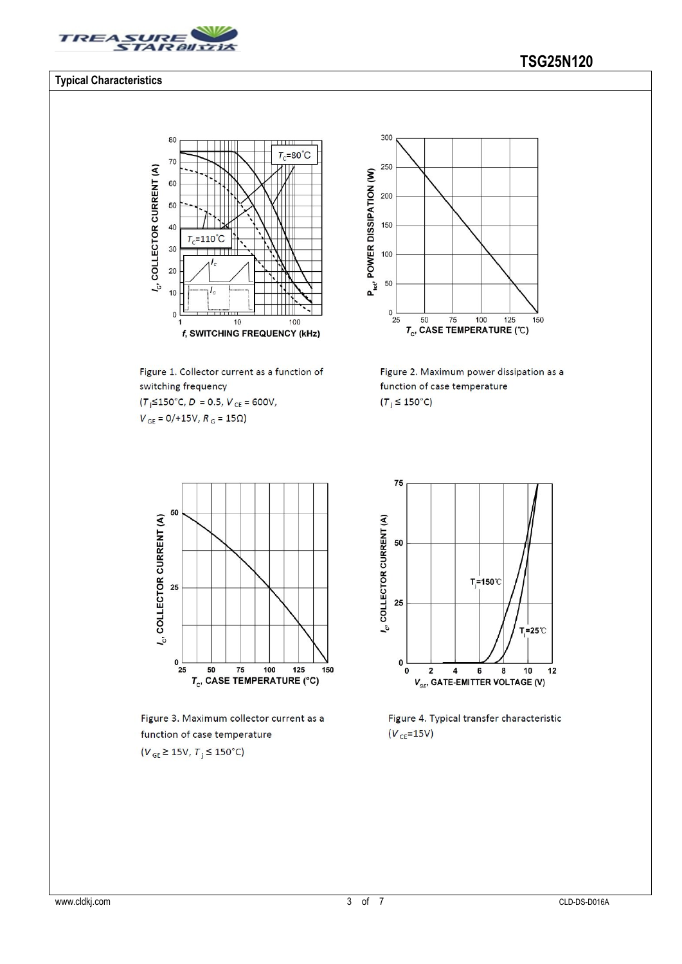

80

70

60

50

 $l_c$ , COLLECTOR CURRENT (A)

#### **Typical Characteristics**

# $\overline{\mathbf{u}}$  $T_c = 80^{\circ}$ C

40  $T_c = 110^{\circ}$ C 30  $20$  $10$  $\pmb{0}$  $10$ 100 f, SWITCHING FREQUENCY (kHz)

Figure 1. Collector current as a function of switching frequency

 $(T_j \le 150^{\circ} \text{C}, D = 0.5, V_{CE} = 600 \text{V},$  $V_{\rm GE}=0/+15\mathrm{V},$   $R_{\rm G}=15\Omega)$ 



Figure 2. Maximum power dissipation as a function of case temperature  $(T_j \leq 150^{\circ}C)$ 



Figure 3. Maximum collector current as a function of case temperature

 $(V_{GE} \ge 15V, T_j \le 150^{\circ}C)$ 



Figure 4. Typical transfer characteristic  $(V_{CE} = 15V)$ 

# **TSG25N120**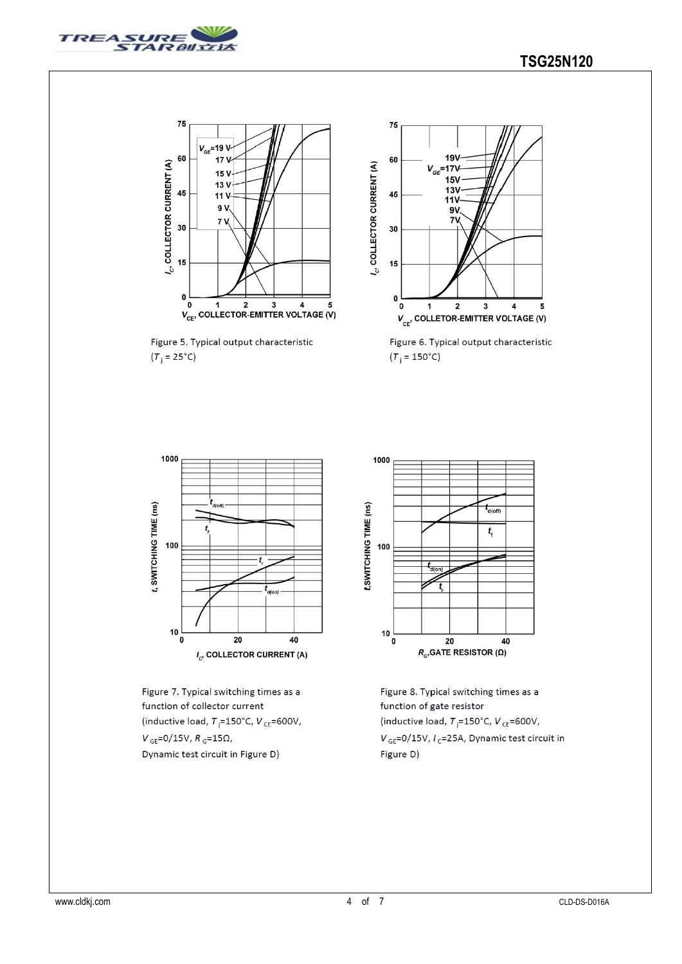



Figure 5. Typical output characteristic  $(T_i = 25^{\circ}C)$ 



Figure 6. Typical output characteristic  $(T_i = 150^{\circ}C)$ 



Figure 7. Typical switching times as a function of collector current (inductive load,  $T_{\parallel} = 150^{\circ}$ C,  $V_{CE} = 600V$ ,  $V_{GE} = 0/15V, R_{G} = 15\Omega,$ Dynamic test circuit in Figure D)



Figure 8. Typical switching times as a function of gate resistor (inductive load,  $T_{\parallel} = 150^{\circ}$ C,  $V_{CE} = 600V$ ,  $V_{GE}$ =0/15V,  $I_C$ =25A, Dynamic test circuit in Figure D)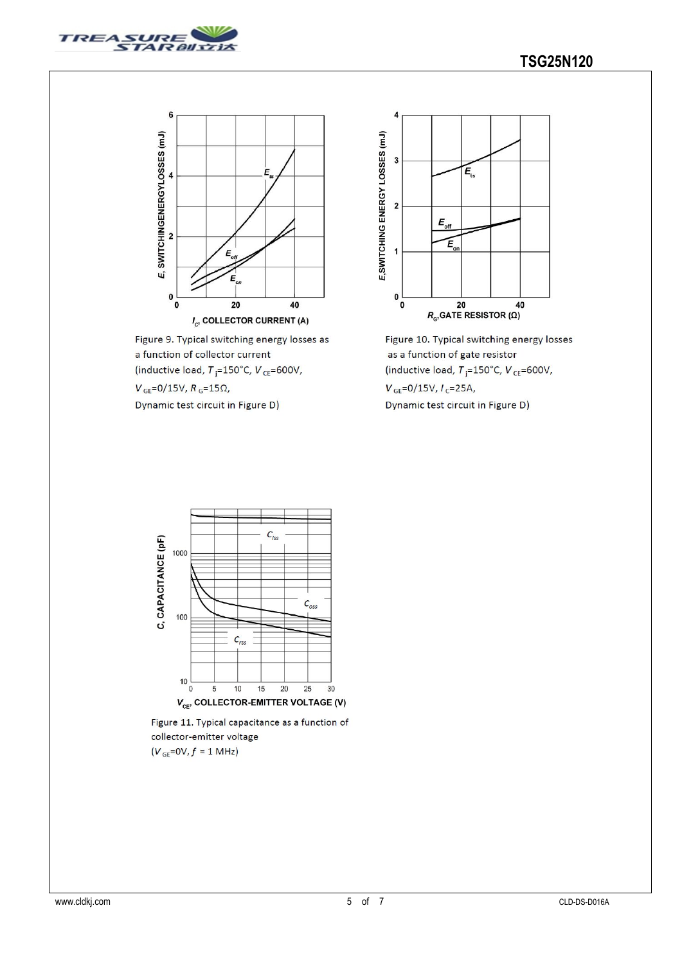



Figure 9. Typical switching energy losses as a function of collector current (inductive load,  $T_{\parallel} = 150^{\circ}$ C,  $V_{CE} = 600V$ ,  $V_{\text{GE}}=0/15V, R_{\text{G}}=15\Omega,$ Dynamic test circuit in Figure D)



Figure 10. Typical switching energy losses as a function of gate resistor (inductive load,  $T_{\rm j}$ =150°C, V<sub>CE</sub>=600V,  $V_{GE} = 0/15V, I_C = 25A,$ Dynamic test circuit in Figure D)



Figure 11. Typical capacitance as a function of collector-emitter voltage

 $(V_{GE}=0V, f = 1 MHz)$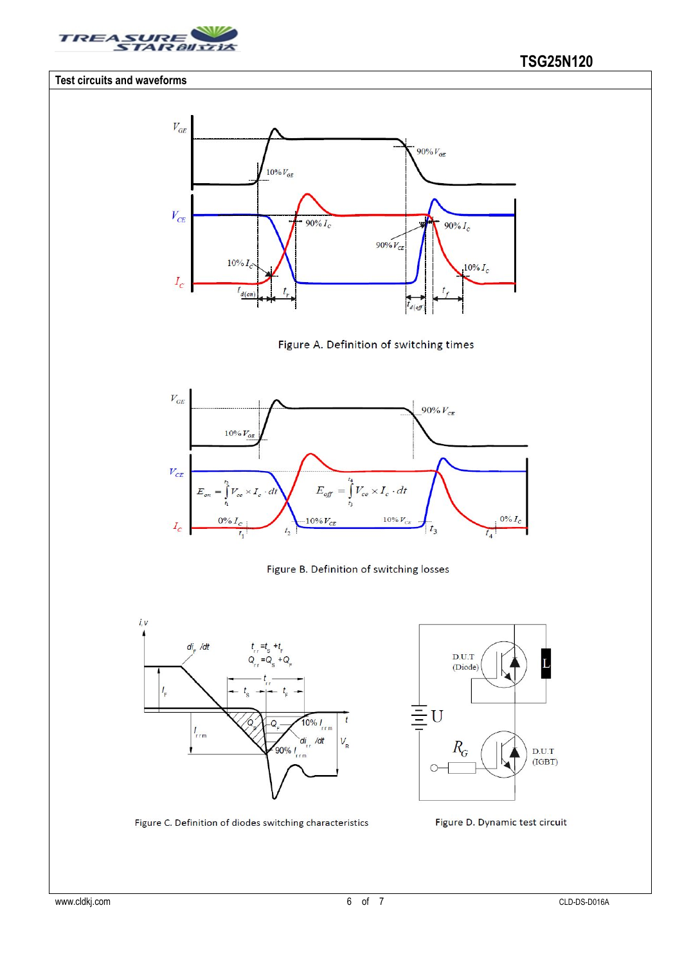

#### **Test circuits and waveforms**













Figure C. Definition of diodes switching characteristics

Figure D. Dynamic test circuit